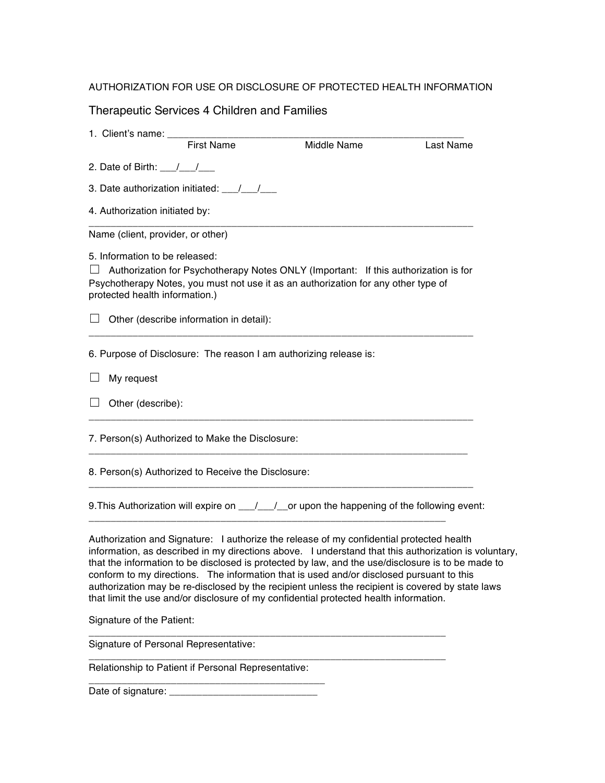## AUTHORIZATION FOR USE OR DISCLOSURE OF PROTECTED HEALTH INFORMATION

Therapeutic Services 4 Children and Families

| 1. Client's name: _______                                         |                   |                                                                                                                                                                                                                                                                                                                                                                                                                                                                                                                                                                                                |           |
|-------------------------------------------------------------------|-------------------|------------------------------------------------------------------------------------------------------------------------------------------------------------------------------------------------------------------------------------------------------------------------------------------------------------------------------------------------------------------------------------------------------------------------------------------------------------------------------------------------------------------------------------------------------------------------------------------------|-----------|
|                                                                   | <b>First Name</b> | Middle Name                                                                                                                                                                                                                                                                                                                                                                                                                                                                                                                                                                                    | Last Name |
| 2. Date of Birth: $\frac{1}{\sqrt{2}}$                            |                   |                                                                                                                                                                                                                                                                                                                                                                                                                                                                                                                                                                                                |           |
|                                                                   |                   |                                                                                                                                                                                                                                                                                                                                                                                                                                                                                                                                                                                                |           |
| 4. Authorization initiated by:                                    |                   |                                                                                                                                                                                                                                                                                                                                                                                                                                                                                                                                                                                                |           |
| Name (client, provider, or other)                                 |                   |                                                                                                                                                                                                                                                                                                                                                                                                                                                                                                                                                                                                |           |
| 5. Information to be released:<br>protected health information.)  |                   | $\Box$ Authorization for Psychotherapy Notes ONLY (Important: If this authorization is for<br>Psychotherapy Notes, you must not use it as an authorization for any other type of                                                                                                                                                                                                                                                                                                                                                                                                               |           |
| $\Box$ Other (describe information in detail):                    |                   |                                                                                                                                                                                                                                                                                                                                                                                                                                                                                                                                                                                                |           |
| 6. Purpose of Disclosure: The reason I am authorizing release is: |                   |                                                                                                                                                                                                                                                                                                                                                                                                                                                                                                                                                                                                |           |
| My request                                                        |                   |                                                                                                                                                                                                                                                                                                                                                                                                                                                                                                                                                                                                |           |
| Other (describe):                                                 |                   |                                                                                                                                                                                                                                                                                                                                                                                                                                                                                                                                                                                                |           |
| 7. Person(s) Authorized to Make the Disclosure:                   |                   |                                                                                                                                                                                                                                                                                                                                                                                                                                                                                                                                                                                                |           |
| 8. Person(s) Authorized to Receive the Disclosure:                |                   |                                                                                                                                                                                                                                                                                                                                                                                                                                                                                                                                                                                                |           |
|                                                                   |                   | 9. This Authorization will expire on __/__/__or upon the happening of the following event:                                                                                                                                                                                                                                                                                                                                                                                                                                                                                                     |           |
|                                                                   |                   | Authorization and Signature: I authorize the release of my confidential protected health<br>information, as described in my directions above. I understand that this authorization is voluntary,<br>that the information to be disclosed is protected by law, and the use/disclosure is to be made to<br>conform to my directions. The information that is used and/or disclosed pursuant to this<br>authorization may be re-disclosed by the recipient unless the recipient is covered by state laws<br>that limit the use and/or disclosure of my confidential protected health information. |           |
| Signature of the Patient:                                         |                   |                                                                                                                                                                                                                                                                                                                                                                                                                                                                                                                                                                                                |           |
| Signature of Personal Representative:                             |                   |                                                                                                                                                                                                                                                                                                                                                                                                                                                                                                                                                                                                |           |

Relationship to Patient if Personal Representative:

\_\_\_\_\_\_\_\_\_\_\_\_\_\_\_\_\_\_\_\_\_\_\_\_\_\_\_\_\_\_\_\_\_\_\_\_\_\_\_\_\_\_\_

Date of signature: \_\_\_\_\_\_\_\_\_\_\_\_\_\_\_\_\_\_\_\_\_\_\_\_\_\_\_